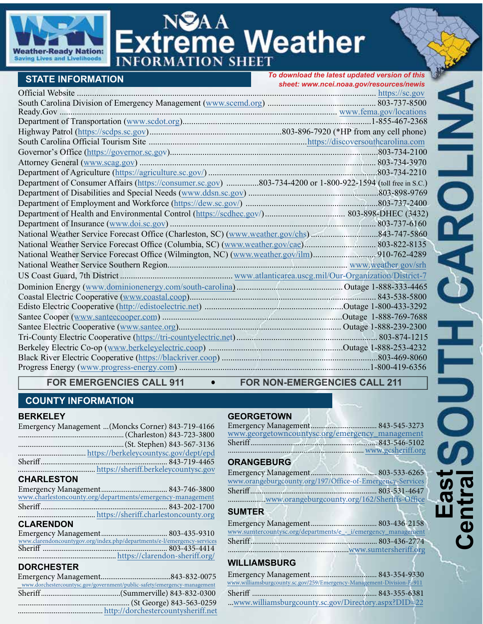

# **NSAA**<br>**Ktreme Weather INFOR**

| <b>STATE INFORMATION</b>                                                                                    | To download the latest updated version of this |  |  |
|-------------------------------------------------------------------------------------------------------------|------------------------------------------------|--|--|
|                                                                                                             | sheet: www.ncei.noaa.gov/resources/newis       |  |  |
|                                                                                                             |                                                |  |  |
|                                                                                                             |                                                |  |  |
|                                                                                                             |                                                |  |  |
|                                                                                                             |                                                |  |  |
|                                                                                                             |                                                |  |  |
|                                                                                                             |                                                |  |  |
|                                                                                                             |                                                |  |  |
|                                                                                                             |                                                |  |  |
|                                                                                                             |                                                |  |  |
| Department of Consumer Affairs (https://consumer.sc.gov) 803-734-4200 or 1-800-922-1594 (toll free in S.C.) |                                                |  |  |
|                                                                                                             |                                                |  |  |
|                                                                                                             |                                                |  |  |
|                                                                                                             |                                                |  |  |
|                                                                                                             |                                                |  |  |
|                                                                                                             |                                                |  |  |
|                                                                                                             |                                                |  |  |
|                                                                                                             |                                                |  |  |
|                                                                                                             |                                                |  |  |
|                                                                                                             |                                                |  |  |
|                                                                                                             |                                                |  |  |
|                                                                                                             |                                                |  |  |
|                                                                                                             |                                                |  |  |
|                                                                                                             |                                                |  |  |
|                                                                                                             |                                                |  |  |
|                                                                                                             |                                                |  |  |
|                                                                                                             |                                                |  |  |
|                                                                                                             |                                                |  |  |
|                                                                                                             |                                                |  |  |

#### FOR EMERGENCIES CALL 911  $\bullet$  FOR NON-EMERGENCIES CALL 211

#### **COUNTY INFORMATION**

#### **BERKELEY**

|                   | Emergency Management (Moncks Corner) 843-719-4166 |
|-------------------|---------------------------------------------------|
|                   |                                                   |
|                   |                                                   |
|                   |                                                   |
|                   |                                                   |
|                   |                                                   |
| <b>CHARLESTON</b> |                                                   |

#### [www.charlestoncounty.org/departments/emergency-management](https://www.charlestoncounty.org/departments/emergency-management/) Emergency Management ................................... 843-746-3800 Sheriff................................................................... 843-202-1700 ......................................... [https://sheriff.charlestoncounty.org](https://sheriff.charlestoncounty.org/)

## **CLARENDON**

|  | www.clarendoncountygov.org/index.php/departments/e-l/emergency-services |
|--|-------------------------------------------------------------------------|
|  |                                                                         |
|  |                                                                         |
|  |                                                                         |

# **DORCHESTER**

| P <sub>1</sub>                                                           |  |  |
|--------------------------------------------------------------------------|--|--|
|                                                                          |  |  |
| www.dorchestercountysc.gov/government/public-safety/emergency-management |  |  |
|                                                                          |  |  |
|                                                                          |  |  |
|                                                                          |  |  |
|                                                                          |  |  |

#### **GEORGETOWN**

| www.georgetowncountysc.org/emergency_management |  |
|-------------------------------------------------|--|
|                                                 |  |
| www.gcsheriff.org                               |  |
|                                                 |  |

#### **ORANGEBURG**

| www.orangeburgcounty.org/197/Office-of-Emergency-Services |  |
|-----------------------------------------------------------|--|
|                                                           |  |
| www.orangeburgcounty.org/162/Sheriffs-Office              |  |
| $\mathbf{A}$                                              |  |

#### **SUMTER**

| www.sumtercountysc.org/departments/e_-_i/emergency_management |  |
|---------------------------------------------------------------|--|
|                                                               |  |
|                                                               |  |

## **WILLIAMSBURG**

| www.williamsburgcounty.sc.gov/259/Emergency-Management-Division-E-911 |  |
|-----------------------------------------------------------------------|--|
|                                                                       |  |
| www.williamsburgcounty.sc.gov/Directory.aspx?DID=22                   |  |
|                                                                       |  |